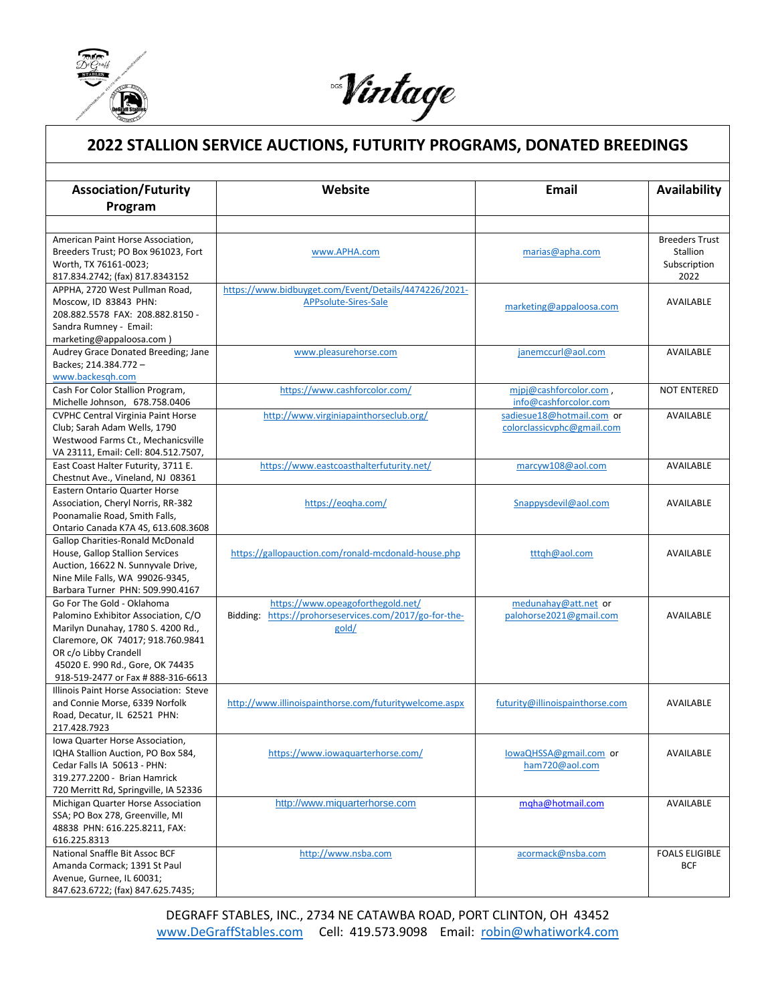

l

Nintage

## **2022 STALLION SERVICE AUCTIONS, FUTURITY PROGRAMS, DONATED BREEDINGS**

| Program<br>American Paint Horse Association,<br><b>Breeders Trust</b><br>Breeders Trust; PO Box 961023, Fort<br>www.APHA.com<br>Stallion<br>marias@apha.com<br>Worth, TX 76161-0023;<br>Subscription<br>817.834.2742; (fax) 817.8343152<br>2022<br>https://www.bidbuyget.com/Event/Details/4474226/2021-<br>APPHA, 2720 West Pullman Road,<br>Moscow, ID 83843 PHN:<br>APPsolute-Sires-Sale<br><b>AVAILABLE</b><br>marketing@appaloosa.com<br>208.882.5578 FAX: 208.882.8150 -<br>Sandra Rumney - Email:<br>marketing@appaloosa.com)<br>www.pleasurehorse.com<br>janemccurl@aol.com<br>Audrey Grace Donated Breeding; Jane<br><b>AVAILABLE</b><br>Backes; 214.384.772 -<br>www.backesgh.com<br>https://www.cashforcolor.com/<br>Cash For Color Stallion Program,<br>mipj@cashforcolor.com,<br><b>NOT ENTERED</b><br>Michelle Johnson, 678.758.0406<br>info@cashforcolor.com<br><b>CVPHC Central Virginia Paint Horse</b><br>http://www.virginiapainthorseclub.org/<br>sadiesue18@hotmail.com or<br>AVAILABLE<br>colorclassicvphc@gmail.com<br>Club; Sarah Adam Wells, 1790<br>Westwood Farms Ct., Mechanicsville<br>VA 23111, Email: Cell: 804.512.7507,<br>https://www.eastcoasthalterfuturity.net/<br>marcyw108@aol.com<br>East Coast Halter Futurity, 3711 E.<br><b>AVAILABLE</b><br>Chestnut Ave., Vineland, NJ 08361<br>Eastern Ontario Quarter Horse<br>Association, Cheryl Norris, RR-382<br>https://eogha.com/<br>Snappysdevil@aol.com<br>AVAILABLE<br>Poonamalie Road, Smith Falls,<br>Ontario Canada K7A 4S, 613.608.3608<br><b>Gallop Charities-Ronald McDonald</b><br>House, Gallop Stallion Services<br>https://gallopauction.com/ronald-mcdonald-house.php<br>tttqh@aol.com<br>AVAILABLE<br>Auction, 16622 N. Sunnyvale Drive,<br>Nine Mile Falls, WA 99026-9345,<br>Barbara Turner PHN: 509.990.4167<br>https://www.opeagoforthegold.net/<br>Go For The Gold - Oklahoma<br>medunahay@att.net or<br>Bidding: https://prohorseservices.com/2017/go-for-the-<br>Palomino Exhibitor Association, C/O<br>palohorse2021@gmail.com<br><b>AVAILABLE</b><br>Marilyn Dunahay, 1780 S. 4200 Rd.,<br>gold/<br>Claremore, OK 74017; 918.760.9841<br>OR c/o Libby Crandell<br>45020 E. 990 Rd., Gore, OK 74435<br>918-519-2477 or Fax # 888-316-6613<br>Illinois Paint Horse Association: Steve<br>and Connie Morse, 6339 Norfolk<br>http://www.illinoispainthorse.com/futuritywelcome.aspx<br>futurity@illinoispainthorse.com<br><b>AVAILABLE</b><br>Road, Decatur, IL 62521 PHN:<br>217.428.7923<br>Iowa Quarter Horse Association,<br>https://www.iowaquarterhorse.com/<br>lowaQHSSA@gmail.com or<br>IQHA Stallion Auction, PO Box 584,<br>AVAILABLE<br>Cedar Falls IA 50613 - PHN:<br>ham720@aol.com<br>319.277.2200 - Brian Hamrick<br>720 Merritt Rd, Springville, IA 52336<br>http://www.miquarterhorse.com<br>mgha@hotmail.com<br>Michigan Quarter Horse Association<br>AVAILABLE<br>SSA; PO Box 278, Greenville, MI<br>48838 PHN: 616.225.8211, FAX:<br>616.225.8313<br>National Snaffle Bit Assoc BCF<br>http://www.nsba.com<br>acormack@nsba.com<br><b>FOALS ELIGIBLE</b><br>Amanda Cormack; 1391 St Paul<br><b>BCF</b><br>Avenue, Gurnee, IL 60031;<br>847.623.6722; (fax) 847.625.7435; |                             |         |              |              |
|-------------------------------------------------------------------------------------------------------------------------------------------------------------------------------------------------------------------------------------------------------------------------------------------------------------------------------------------------------------------------------------------------------------------------------------------------------------------------------------------------------------------------------------------------------------------------------------------------------------------------------------------------------------------------------------------------------------------------------------------------------------------------------------------------------------------------------------------------------------------------------------------------------------------------------------------------------------------------------------------------------------------------------------------------------------------------------------------------------------------------------------------------------------------------------------------------------------------------------------------------------------------------------------------------------------------------------------------------------------------------------------------------------------------------------------------------------------------------------------------------------------------------------------------------------------------------------------------------------------------------------------------------------------------------------------------------------------------------------------------------------------------------------------------------------------------------------------------------------------------------------------------------------------------------------------------------------------------------------------------------------------------------------------------------------------------------------------------------------------------------------------------------------------------------------------------------------------------------------------------------------------------------------------------------------------------------------------------------------------------------------------------------------------------------------------------------------------------------------------------------------------------------------------------------------------------------------------------------------------------------------------------------------------------------------------------------------------------------------------------------------------------------------------------------------------------------------------------------------------------------------------------------------------------------------------------------------------------------------------------------------------------------------------------------------------------------------------------------------------------------------------------------------------------------------------------------------|-----------------------------|---------|--------------|--------------|
|                                                                                                                                                                                                                                                                                                                                                                                                                                                                                                                                                                                                                                                                                                                                                                                                                                                                                                                                                                                                                                                                                                                                                                                                                                                                                                                                                                                                                                                                                                                                                                                                                                                                                                                                                                                                                                                                                                                                                                                                                                                                                                                                                                                                                                                                                                                                                                                                                                                                                                                                                                                                                                                                                                                                                                                                                                                                                                                                                                                                                                                                                                                                                                                                       | <b>Association/Futurity</b> | Website | <b>Email</b> | Availability |
|                                                                                                                                                                                                                                                                                                                                                                                                                                                                                                                                                                                                                                                                                                                                                                                                                                                                                                                                                                                                                                                                                                                                                                                                                                                                                                                                                                                                                                                                                                                                                                                                                                                                                                                                                                                                                                                                                                                                                                                                                                                                                                                                                                                                                                                                                                                                                                                                                                                                                                                                                                                                                                                                                                                                                                                                                                                                                                                                                                                                                                                                                                                                                                                                       |                             |         |              |              |
|                                                                                                                                                                                                                                                                                                                                                                                                                                                                                                                                                                                                                                                                                                                                                                                                                                                                                                                                                                                                                                                                                                                                                                                                                                                                                                                                                                                                                                                                                                                                                                                                                                                                                                                                                                                                                                                                                                                                                                                                                                                                                                                                                                                                                                                                                                                                                                                                                                                                                                                                                                                                                                                                                                                                                                                                                                                                                                                                                                                                                                                                                                                                                                                                       |                             |         |              |              |
|                                                                                                                                                                                                                                                                                                                                                                                                                                                                                                                                                                                                                                                                                                                                                                                                                                                                                                                                                                                                                                                                                                                                                                                                                                                                                                                                                                                                                                                                                                                                                                                                                                                                                                                                                                                                                                                                                                                                                                                                                                                                                                                                                                                                                                                                                                                                                                                                                                                                                                                                                                                                                                                                                                                                                                                                                                                                                                                                                                                                                                                                                                                                                                                                       |                             |         |              |              |
|                                                                                                                                                                                                                                                                                                                                                                                                                                                                                                                                                                                                                                                                                                                                                                                                                                                                                                                                                                                                                                                                                                                                                                                                                                                                                                                                                                                                                                                                                                                                                                                                                                                                                                                                                                                                                                                                                                                                                                                                                                                                                                                                                                                                                                                                                                                                                                                                                                                                                                                                                                                                                                                                                                                                                                                                                                                                                                                                                                                                                                                                                                                                                                                                       |                             |         |              |              |
|                                                                                                                                                                                                                                                                                                                                                                                                                                                                                                                                                                                                                                                                                                                                                                                                                                                                                                                                                                                                                                                                                                                                                                                                                                                                                                                                                                                                                                                                                                                                                                                                                                                                                                                                                                                                                                                                                                                                                                                                                                                                                                                                                                                                                                                                                                                                                                                                                                                                                                                                                                                                                                                                                                                                                                                                                                                                                                                                                                                                                                                                                                                                                                                                       |                             |         |              |              |
|                                                                                                                                                                                                                                                                                                                                                                                                                                                                                                                                                                                                                                                                                                                                                                                                                                                                                                                                                                                                                                                                                                                                                                                                                                                                                                                                                                                                                                                                                                                                                                                                                                                                                                                                                                                                                                                                                                                                                                                                                                                                                                                                                                                                                                                                                                                                                                                                                                                                                                                                                                                                                                                                                                                                                                                                                                                                                                                                                                                                                                                                                                                                                                                                       |                             |         |              |              |
|                                                                                                                                                                                                                                                                                                                                                                                                                                                                                                                                                                                                                                                                                                                                                                                                                                                                                                                                                                                                                                                                                                                                                                                                                                                                                                                                                                                                                                                                                                                                                                                                                                                                                                                                                                                                                                                                                                                                                                                                                                                                                                                                                                                                                                                                                                                                                                                                                                                                                                                                                                                                                                                                                                                                                                                                                                                                                                                                                                                                                                                                                                                                                                                                       |                             |         |              |              |
|                                                                                                                                                                                                                                                                                                                                                                                                                                                                                                                                                                                                                                                                                                                                                                                                                                                                                                                                                                                                                                                                                                                                                                                                                                                                                                                                                                                                                                                                                                                                                                                                                                                                                                                                                                                                                                                                                                                                                                                                                                                                                                                                                                                                                                                                                                                                                                                                                                                                                                                                                                                                                                                                                                                                                                                                                                                                                                                                                                                                                                                                                                                                                                                                       |                             |         |              |              |
|                                                                                                                                                                                                                                                                                                                                                                                                                                                                                                                                                                                                                                                                                                                                                                                                                                                                                                                                                                                                                                                                                                                                                                                                                                                                                                                                                                                                                                                                                                                                                                                                                                                                                                                                                                                                                                                                                                                                                                                                                                                                                                                                                                                                                                                                                                                                                                                                                                                                                                                                                                                                                                                                                                                                                                                                                                                                                                                                                                                                                                                                                                                                                                                                       |                             |         |              |              |
|                                                                                                                                                                                                                                                                                                                                                                                                                                                                                                                                                                                                                                                                                                                                                                                                                                                                                                                                                                                                                                                                                                                                                                                                                                                                                                                                                                                                                                                                                                                                                                                                                                                                                                                                                                                                                                                                                                                                                                                                                                                                                                                                                                                                                                                                                                                                                                                                                                                                                                                                                                                                                                                                                                                                                                                                                                                                                                                                                                                                                                                                                                                                                                                                       |                             |         |              |              |
|                                                                                                                                                                                                                                                                                                                                                                                                                                                                                                                                                                                                                                                                                                                                                                                                                                                                                                                                                                                                                                                                                                                                                                                                                                                                                                                                                                                                                                                                                                                                                                                                                                                                                                                                                                                                                                                                                                                                                                                                                                                                                                                                                                                                                                                                                                                                                                                                                                                                                                                                                                                                                                                                                                                                                                                                                                                                                                                                                                                                                                                                                                                                                                                                       |                             |         |              |              |
|                                                                                                                                                                                                                                                                                                                                                                                                                                                                                                                                                                                                                                                                                                                                                                                                                                                                                                                                                                                                                                                                                                                                                                                                                                                                                                                                                                                                                                                                                                                                                                                                                                                                                                                                                                                                                                                                                                                                                                                                                                                                                                                                                                                                                                                                                                                                                                                                                                                                                                                                                                                                                                                                                                                                                                                                                                                                                                                                                                                                                                                                                                                                                                                                       |                             |         |              |              |
|                                                                                                                                                                                                                                                                                                                                                                                                                                                                                                                                                                                                                                                                                                                                                                                                                                                                                                                                                                                                                                                                                                                                                                                                                                                                                                                                                                                                                                                                                                                                                                                                                                                                                                                                                                                                                                                                                                                                                                                                                                                                                                                                                                                                                                                                                                                                                                                                                                                                                                                                                                                                                                                                                                                                                                                                                                                                                                                                                                                                                                                                                                                                                                                                       |                             |         |              |              |
|                                                                                                                                                                                                                                                                                                                                                                                                                                                                                                                                                                                                                                                                                                                                                                                                                                                                                                                                                                                                                                                                                                                                                                                                                                                                                                                                                                                                                                                                                                                                                                                                                                                                                                                                                                                                                                                                                                                                                                                                                                                                                                                                                                                                                                                                                                                                                                                                                                                                                                                                                                                                                                                                                                                                                                                                                                                                                                                                                                                                                                                                                                                                                                                                       |                             |         |              |              |
|                                                                                                                                                                                                                                                                                                                                                                                                                                                                                                                                                                                                                                                                                                                                                                                                                                                                                                                                                                                                                                                                                                                                                                                                                                                                                                                                                                                                                                                                                                                                                                                                                                                                                                                                                                                                                                                                                                                                                                                                                                                                                                                                                                                                                                                                                                                                                                                                                                                                                                                                                                                                                                                                                                                                                                                                                                                                                                                                                                                                                                                                                                                                                                                                       |                             |         |              |              |
|                                                                                                                                                                                                                                                                                                                                                                                                                                                                                                                                                                                                                                                                                                                                                                                                                                                                                                                                                                                                                                                                                                                                                                                                                                                                                                                                                                                                                                                                                                                                                                                                                                                                                                                                                                                                                                                                                                                                                                                                                                                                                                                                                                                                                                                                                                                                                                                                                                                                                                                                                                                                                                                                                                                                                                                                                                                                                                                                                                                                                                                                                                                                                                                                       |                             |         |              |              |
|                                                                                                                                                                                                                                                                                                                                                                                                                                                                                                                                                                                                                                                                                                                                                                                                                                                                                                                                                                                                                                                                                                                                                                                                                                                                                                                                                                                                                                                                                                                                                                                                                                                                                                                                                                                                                                                                                                                                                                                                                                                                                                                                                                                                                                                                                                                                                                                                                                                                                                                                                                                                                                                                                                                                                                                                                                                                                                                                                                                                                                                                                                                                                                                                       |                             |         |              |              |
|                                                                                                                                                                                                                                                                                                                                                                                                                                                                                                                                                                                                                                                                                                                                                                                                                                                                                                                                                                                                                                                                                                                                                                                                                                                                                                                                                                                                                                                                                                                                                                                                                                                                                                                                                                                                                                                                                                                                                                                                                                                                                                                                                                                                                                                                                                                                                                                                                                                                                                                                                                                                                                                                                                                                                                                                                                                                                                                                                                                                                                                                                                                                                                                                       |                             |         |              |              |
|                                                                                                                                                                                                                                                                                                                                                                                                                                                                                                                                                                                                                                                                                                                                                                                                                                                                                                                                                                                                                                                                                                                                                                                                                                                                                                                                                                                                                                                                                                                                                                                                                                                                                                                                                                                                                                                                                                                                                                                                                                                                                                                                                                                                                                                                                                                                                                                                                                                                                                                                                                                                                                                                                                                                                                                                                                                                                                                                                                                                                                                                                                                                                                                                       |                             |         |              |              |
|                                                                                                                                                                                                                                                                                                                                                                                                                                                                                                                                                                                                                                                                                                                                                                                                                                                                                                                                                                                                                                                                                                                                                                                                                                                                                                                                                                                                                                                                                                                                                                                                                                                                                                                                                                                                                                                                                                                                                                                                                                                                                                                                                                                                                                                                                                                                                                                                                                                                                                                                                                                                                                                                                                                                                                                                                                                                                                                                                                                                                                                                                                                                                                                                       |                             |         |              |              |
|                                                                                                                                                                                                                                                                                                                                                                                                                                                                                                                                                                                                                                                                                                                                                                                                                                                                                                                                                                                                                                                                                                                                                                                                                                                                                                                                                                                                                                                                                                                                                                                                                                                                                                                                                                                                                                                                                                                                                                                                                                                                                                                                                                                                                                                                                                                                                                                                                                                                                                                                                                                                                                                                                                                                                                                                                                                                                                                                                                                                                                                                                                                                                                                                       |                             |         |              |              |
|                                                                                                                                                                                                                                                                                                                                                                                                                                                                                                                                                                                                                                                                                                                                                                                                                                                                                                                                                                                                                                                                                                                                                                                                                                                                                                                                                                                                                                                                                                                                                                                                                                                                                                                                                                                                                                                                                                                                                                                                                                                                                                                                                                                                                                                                                                                                                                                                                                                                                                                                                                                                                                                                                                                                                                                                                                                                                                                                                                                                                                                                                                                                                                                                       |                             |         |              |              |
|                                                                                                                                                                                                                                                                                                                                                                                                                                                                                                                                                                                                                                                                                                                                                                                                                                                                                                                                                                                                                                                                                                                                                                                                                                                                                                                                                                                                                                                                                                                                                                                                                                                                                                                                                                                                                                                                                                                                                                                                                                                                                                                                                                                                                                                                                                                                                                                                                                                                                                                                                                                                                                                                                                                                                                                                                                                                                                                                                                                                                                                                                                                                                                                                       |                             |         |              |              |
|                                                                                                                                                                                                                                                                                                                                                                                                                                                                                                                                                                                                                                                                                                                                                                                                                                                                                                                                                                                                                                                                                                                                                                                                                                                                                                                                                                                                                                                                                                                                                                                                                                                                                                                                                                                                                                                                                                                                                                                                                                                                                                                                                                                                                                                                                                                                                                                                                                                                                                                                                                                                                                                                                                                                                                                                                                                                                                                                                                                                                                                                                                                                                                                                       |                             |         |              |              |
|                                                                                                                                                                                                                                                                                                                                                                                                                                                                                                                                                                                                                                                                                                                                                                                                                                                                                                                                                                                                                                                                                                                                                                                                                                                                                                                                                                                                                                                                                                                                                                                                                                                                                                                                                                                                                                                                                                                                                                                                                                                                                                                                                                                                                                                                                                                                                                                                                                                                                                                                                                                                                                                                                                                                                                                                                                                                                                                                                                                                                                                                                                                                                                                                       |                             |         |              |              |
|                                                                                                                                                                                                                                                                                                                                                                                                                                                                                                                                                                                                                                                                                                                                                                                                                                                                                                                                                                                                                                                                                                                                                                                                                                                                                                                                                                                                                                                                                                                                                                                                                                                                                                                                                                                                                                                                                                                                                                                                                                                                                                                                                                                                                                                                                                                                                                                                                                                                                                                                                                                                                                                                                                                                                                                                                                                                                                                                                                                                                                                                                                                                                                                                       |                             |         |              |              |
|                                                                                                                                                                                                                                                                                                                                                                                                                                                                                                                                                                                                                                                                                                                                                                                                                                                                                                                                                                                                                                                                                                                                                                                                                                                                                                                                                                                                                                                                                                                                                                                                                                                                                                                                                                                                                                                                                                                                                                                                                                                                                                                                                                                                                                                                                                                                                                                                                                                                                                                                                                                                                                                                                                                                                                                                                                                                                                                                                                                                                                                                                                                                                                                                       |                             |         |              |              |
|                                                                                                                                                                                                                                                                                                                                                                                                                                                                                                                                                                                                                                                                                                                                                                                                                                                                                                                                                                                                                                                                                                                                                                                                                                                                                                                                                                                                                                                                                                                                                                                                                                                                                                                                                                                                                                                                                                                                                                                                                                                                                                                                                                                                                                                                                                                                                                                                                                                                                                                                                                                                                                                                                                                                                                                                                                                                                                                                                                                                                                                                                                                                                                                                       |                             |         |              |              |
|                                                                                                                                                                                                                                                                                                                                                                                                                                                                                                                                                                                                                                                                                                                                                                                                                                                                                                                                                                                                                                                                                                                                                                                                                                                                                                                                                                                                                                                                                                                                                                                                                                                                                                                                                                                                                                                                                                                                                                                                                                                                                                                                                                                                                                                                                                                                                                                                                                                                                                                                                                                                                                                                                                                                                                                                                                                                                                                                                                                                                                                                                                                                                                                                       |                             |         |              |              |
|                                                                                                                                                                                                                                                                                                                                                                                                                                                                                                                                                                                                                                                                                                                                                                                                                                                                                                                                                                                                                                                                                                                                                                                                                                                                                                                                                                                                                                                                                                                                                                                                                                                                                                                                                                                                                                                                                                                                                                                                                                                                                                                                                                                                                                                                                                                                                                                                                                                                                                                                                                                                                                                                                                                                                                                                                                                                                                                                                                                                                                                                                                                                                                                                       |                             |         |              |              |
|                                                                                                                                                                                                                                                                                                                                                                                                                                                                                                                                                                                                                                                                                                                                                                                                                                                                                                                                                                                                                                                                                                                                                                                                                                                                                                                                                                                                                                                                                                                                                                                                                                                                                                                                                                                                                                                                                                                                                                                                                                                                                                                                                                                                                                                                                                                                                                                                                                                                                                                                                                                                                                                                                                                                                                                                                                                                                                                                                                                                                                                                                                                                                                                                       |                             |         |              |              |
|                                                                                                                                                                                                                                                                                                                                                                                                                                                                                                                                                                                                                                                                                                                                                                                                                                                                                                                                                                                                                                                                                                                                                                                                                                                                                                                                                                                                                                                                                                                                                                                                                                                                                                                                                                                                                                                                                                                                                                                                                                                                                                                                                                                                                                                                                                                                                                                                                                                                                                                                                                                                                                                                                                                                                                                                                                                                                                                                                                                                                                                                                                                                                                                                       |                             |         |              |              |
|                                                                                                                                                                                                                                                                                                                                                                                                                                                                                                                                                                                                                                                                                                                                                                                                                                                                                                                                                                                                                                                                                                                                                                                                                                                                                                                                                                                                                                                                                                                                                                                                                                                                                                                                                                                                                                                                                                                                                                                                                                                                                                                                                                                                                                                                                                                                                                                                                                                                                                                                                                                                                                                                                                                                                                                                                                                                                                                                                                                                                                                                                                                                                                                                       |                             |         |              |              |
|                                                                                                                                                                                                                                                                                                                                                                                                                                                                                                                                                                                                                                                                                                                                                                                                                                                                                                                                                                                                                                                                                                                                                                                                                                                                                                                                                                                                                                                                                                                                                                                                                                                                                                                                                                                                                                                                                                                                                                                                                                                                                                                                                                                                                                                                                                                                                                                                                                                                                                                                                                                                                                                                                                                                                                                                                                                                                                                                                                                                                                                                                                                                                                                                       |                             |         |              |              |
|                                                                                                                                                                                                                                                                                                                                                                                                                                                                                                                                                                                                                                                                                                                                                                                                                                                                                                                                                                                                                                                                                                                                                                                                                                                                                                                                                                                                                                                                                                                                                                                                                                                                                                                                                                                                                                                                                                                                                                                                                                                                                                                                                                                                                                                                                                                                                                                                                                                                                                                                                                                                                                                                                                                                                                                                                                                                                                                                                                                                                                                                                                                                                                                                       |                             |         |              |              |
|                                                                                                                                                                                                                                                                                                                                                                                                                                                                                                                                                                                                                                                                                                                                                                                                                                                                                                                                                                                                                                                                                                                                                                                                                                                                                                                                                                                                                                                                                                                                                                                                                                                                                                                                                                                                                                                                                                                                                                                                                                                                                                                                                                                                                                                                                                                                                                                                                                                                                                                                                                                                                                                                                                                                                                                                                                                                                                                                                                                                                                                                                                                                                                                                       |                             |         |              |              |
|                                                                                                                                                                                                                                                                                                                                                                                                                                                                                                                                                                                                                                                                                                                                                                                                                                                                                                                                                                                                                                                                                                                                                                                                                                                                                                                                                                                                                                                                                                                                                                                                                                                                                                                                                                                                                                                                                                                                                                                                                                                                                                                                                                                                                                                                                                                                                                                                                                                                                                                                                                                                                                                                                                                                                                                                                                                                                                                                                                                                                                                                                                                                                                                                       |                             |         |              |              |
|                                                                                                                                                                                                                                                                                                                                                                                                                                                                                                                                                                                                                                                                                                                                                                                                                                                                                                                                                                                                                                                                                                                                                                                                                                                                                                                                                                                                                                                                                                                                                                                                                                                                                                                                                                                                                                                                                                                                                                                                                                                                                                                                                                                                                                                                                                                                                                                                                                                                                                                                                                                                                                                                                                                                                                                                                                                                                                                                                                                                                                                                                                                                                                                                       |                             |         |              |              |
|                                                                                                                                                                                                                                                                                                                                                                                                                                                                                                                                                                                                                                                                                                                                                                                                                                                                                                                                                                                                                                                                                                                                                                                                                                                                                                                                                                                                                                                                                                                                                                                                                                                                                                                                                                                                                                                                                                                                                                                                                                                                                                                                                                                                                                                                                                                                                                                                                                                                                                                                                                                                                                                                                                                                                                                                                                                                                                                                                                                                                                                                                                                                                                                                       |                             |         |              |              |
|                                                                                                                                                                                                                                                                                                                                                                                                                                                                                                                                                                                                                                                                                                                                                                                                                                                                                                                                                                                                                                                                                                                                                                                                                                                                                                                                                                                                                                                                                                                                                                                                                                                                                                                                                                                                                                                                                                                                                                                                                                                                                                                                                                                                                                                                                                                                                                                                                                                                                                                                                                                                                                                                                                                                                                                                                                                                                                                                                                                                                                                                                                                                                                                                       |                             |         |              |              |
|                                                                                                                                                                                                                                                                                                                                                                                                                                                                                                                                                                                                                                                                                                                                                                                                                                                                                                                                                                                                                                                                                                                                                                                                                                                                                                                                                                                                                                                                                                                                                                                                                                                                                                                                                                                                                                                                                                                                                                                                                                                                                                                                                                                                                                                                                                                                                                                                                                                                                                                                                                                                                                                                                                                                                                                                                                                                                                                                                                                                                                                                                                                                                                                                       |                             |         |              |              |
|                                                                                                                                                                                                                                                                                                                                                                                                                                                                                                                                                                                                                                                                                                                                                                                                                                                                                                                                                                                                                                                                                                                                                                                                                                                                                                                                                                                                                                                                                                                                                                                                                                                                                                                                                                                                                                                                                                                                                                                                                                                                                                                                                                                                                                                                                                                                                                                                                                                                                                                                                                                                                                                                                                                                                                                                                                                                                                                                                                                                                                                                                                                                                                                                       |                             |         |              |              |
|                                                                                                                                                                                                                                                                                                                                                                                                                                                                                                                                                                                                                                                                                                                                                                                                                                                                                                                                                                                                                                                                                                                                                                                                                                                                                                                                                                                                                                                                                                                                                                                                                                                                                                                                                                                                                                                                                                                                                                                                                                                                                                                                                                                                                                                                                                                                                                                                                                                                                                                                                                                                                                                                                                                                                                                                                                                                                                                                                                                                                                                                                                                                                                                                       |                             |         |              |              |
|                                                                                                                                                                                                                                                                                                                                                                                                                                                                                                                                                                                                                                                                                                                                                                                                                                                                                                                                                                                                                                                                                                                                                                                                                                                                                                                                                                                                                                                                                                                                                                                                                                                                                                                                                                                                                                                                                                                                                                                                                                                                                                                                                                                                                                                                                                                                                                                                                                                                                                                                                                                                                                                                                                                                                                                                                                                                                                                                                                                                                                                                                                                                                                                                       |                             |         |              |              |
|                                                                                                                                                                                                                                                                                                                                                                                                                                                                                                                                                                                                                                                                                                                                                                                                                                                                                                                                                                                                                                                                                                                                                                                                                                                                                                                                                                                                                                                                                                                                                                                                                                                                                                                                                                                                                                                                                                                                                                                                                                                                                                                                                                                                                                                                                                                                                                                                                                                                                                                                                                                                                                                                                                                                                                                                                                                                                                                                                                                                                                                                                                                                                                                                       |                             |         |              |              |
|                                                                                                                                                                                                                                                                                                                                                                                                                                                                                                                                                                                                                                                                                                                                                                                                                                                                                                                                                                                                                                                                                                                                                                                                                                                                                                                                                                                                                                                                                                                                                                                                                                                                                                                                                                                                                                                                                                                                                                                                                                                                                                                                                                                                                                                                                                                                                                                                                                                                                                                                                                                                                                                                                                                                                                                                                                                                                                                                                                                                                                                                                                                                                                                                       |                             |         |              |              |
|                                                                                                                                                                                                                                                                                                                                                                                                                                                                                                                                                                                                                                                                                                                                                                                                                                                                                                                                                                                                                                                                                                                                                                                                                                                                                                                                                                                                                                                                                                                                                                                                                                                                                                                                                                                                                                                                                                                                                                                                                                                                                                                                                                                                                                                                                                                                                                                                                                                                                                                                                                                                                                                                                                                                                                                                                                                                                                                                                                                                                                                                                                                                                                                                       |                             |         |              |              |
|                                                                                                                                                                                                                                                                                                                                                                                                                                                                                                                                                                                                                                                                                                                                                                                                                                                                                                                                                                                                                                                                                                                                                                                                                                                                                                                                                                                                                                                                                                                                                                                                                                                                                                                                                                                                                                                                                                                                                                                                                                                                                                                                                                                                                                                                                                                                                                                                                                                                                                                                                                                                                                                                                                                                                                                                                                                                                                                                                                                                                                                                                                                                                                                                       |                             |         |              |              |
|                                                                                                                                                                                                                                                                                                                                                                                                                                                                                                                                                                                                                                                                                                                                                                                                                                                                                                                                                                                                                                                                                                                                                                                                                                                                                                                                                                                                                                                                                                                                                                                                                                                                                                                                                                                                                                                                                                                                                                                                                                                                                                                                                                                                                                                                                                                                                                                                                                                                                                                                                                                                                                                                                                                                                                                                                                                                                                                                                                                                                                                                                                                                                                                                       |                             |         |              |              |
|                                                                                                                                                                                                                                                                                                                                                                                                                                                                                                                                                                                                                                                                                                                                                                                                                                                                                                                                                                                                                                                                                                                                                                                                                                                                                                                                                                                                                                                                                                                                                                                                                                                                                                                                                                                                                                                                                                                                                                                                                                                                                                                                                                                                                                                                                                                                                                                                                                                                                                                                                                                                                                                                                                                                                                                                                                                                                                                                                                                                                                                                                                                                                                                                       |                             |         |              |              |
|                                                                                                                                                                                                                                                                                                                                                                                                                                                                                                                                                                                                                                                                                                                                                                                                                                                                                                                                                                                                                                                                                                                                                                                                                                                                                                                                                                                                                                                                                                                                                                                                                                                                                                                                                                                                                                                                                                                                                                                                                                                                                                                                                                                                                                                                                                                                                                                                                                                                                                                                                                                                                                                                                                                                                                                                                                                                                                                                                                                                                                                                                                                                                                                                       |                             |         |              |              |
|                                                                                                                                                                                                                                                                                                                                                                                                                                                                                                                                                                                                                                                                                                                                                                                                                                                                                                                                                                                                                                                                                                                                                                                                                                                                                                                                                                                                                                                                                                                                                                                                                                                                                                                                                                                                                                                                                                                                                                                                                                                                                                                                                                                                                                                                                                                                                                                                                                                                                                                                                                                                                                                                                                                                                                                                                                                                                                                                                                                                                                                                                                                                                                                                       |                             |         |              |              |

DEGRAFF STABLES, INC., 2734 NE CATAWBA ROAD, PORT CLINTON, OH 43452 [www.DeGraffStables.com](http://www.degraffstables.com/) Cell: 419.573.9098 Email: [robin@whatiwork4.com](mailto:robin@whatiwork4.com)